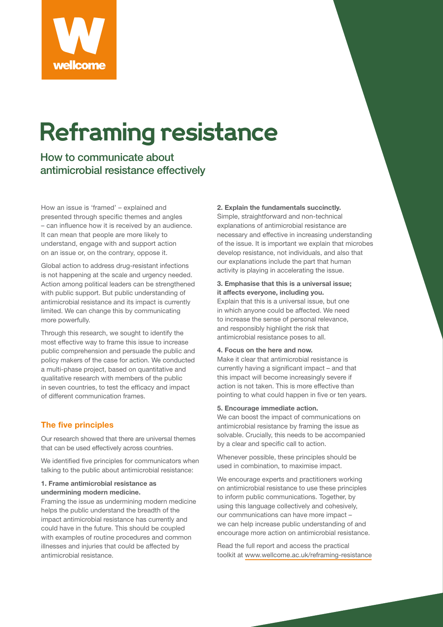

# **Reframing resistance**

How to communicate about antimicrobial resistance effectively

How an issue is 'framed' – explained and presented through specific themes and angles – can influence how it is received by an audience. It can mean that people are more likely to understand, engage with and support action on an issue or, on the contrary, oppose it.

Global action to address drug-resistant infections is not happening at the scale and urgency needed. Action among political leaders can be strengthened with public support. But public understanding of antimicrobial resistance and its impact is currently limited. We can change this by communicating more powerfully.

Through this research, we sought to identify the most effective way to frame this issue to increase public comprehension and persuade the public and policy makers of the case for action. We conducted a multi-phase project, based on quantitative and qualitative research with members of the public in seven countries, to test the efficacy and impact of different communication frames.

# **The five principles**

Our research showed that there are universal themes that can be used effectively across countries.

We identified five principles for communicators when talking to the public about antimicrobial resistance:

## **1. Frame antimicrobial resistance as undermining modern medicine.**

Framing the issue as undermining modern medicine helps the public understand the breadth of the impact antimicrobial resistance has currently and could have in the future. This should be coupled with examples of routine procedures and common illnesses and injuries that could be affected by antimicrobial resistance.

#### **2. Explain the fundamentals succinctly.**

Simple, straightforward and non-technical explanations of antimicrobial resistance are necessary and effective in increasing understanding of the issue. It is important we explain that microbes develop resistance, not individuals, and also that our explanations include the part that human activity is playing in accelerating the issue.

## **3. Emphasise that this is a universal issue; it affects everyone, including you.**

Explain that this is a universal issue, but one in which anyone could be affected. We need to increase the sense of personal relevance, and responsibly highlight the risk that antimicrobial resistance poses to all.

#### **4. Focus on the here and now.**

Make it clear that antimicrobial resistance is currently having a significant impact – and that this impact will become increasingly severe if action is not taken. This is more effective than pointing to what could happen in five or ten years.

#### **5. Encourage immediate action.**

We can boost the impact of communications on antimicrobial resistance by framing the issue as solvable. Crucially, this needs to be accompanied by a clear and specific call to action.

Whenever possible, these principles should be used in combination, to maximise impact.

We encourage experts and practitioners working on antimicrobial resistance to use these principles to inform public communications. Together, by using this language collectively and cohesively, our communications can have more impact – we can help increase public understanding of and encourage more action on antimicrobial resistance.

Read the full report and access the practical toolkit at www.wellcome.ac.uk/reframing-resistance